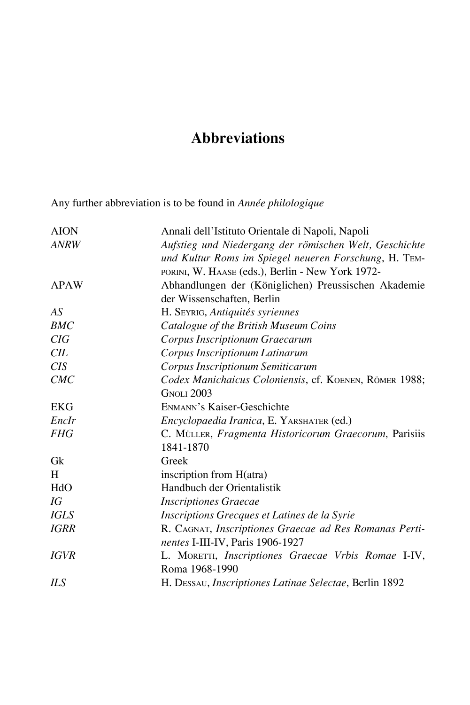## **Abbreviations**

Any further abbreviation is to be found in *Année philologique*

| <b>AION</b> | Annali dell'Istituto Orientale di Napoli, Napoli       |
|-------------|--------------------------------------------------------|
| <b>ANRW</b> | Aufstieg und Niedergang der römischen Welt, Geschichte |
|             | und Kultur Roms im Spiegel neueren Forschung, H. TEM-  |
|             | PORINI, W. HAASE (eds.), Berlin - New York 1972-       |
| <b>APAW</b> | Abhandlungen der (Königlichen) Preussischen Akademie   |
|             | der Wissenschaften, Berlin                             |
| AS          | H. SEYRIG, Antiquités syriennes                        |
| BMC         | Catalogue of the British Museum Coins                  |
| CIG         | Corpus Inscriptionum Graecarum                         |
| CIL         | Corpus Inscriptionum Latinarum                         |
| CIS         | Corpus Inscriptionum Semiticarum                       |
| CMC         | Codex Manichaicus Coloniensis, cf. KOENEN, RÖMER 1988; |
|             | <b>GNOLI 2003</b>                                      |
| <b>EKG</b>  | ENMANN's Kaiser-Geschichte                             |
| EncIr       | Encyclopaedia Iranica, E. YARSHATER (ed.)              |
| <b>FHG</b>  | C. MÜLLER, Fragmenta Historicorum Graecorum, Parisiis  |
|             | 1841-1870                                              |
| Gk          | Greek                                                  |
| H           | inscription from H(atra)                               |
| HdO         | Handbuch der Orientalistik                             |
| IG          | <b>Inscriptiones Graecae</b>                           |
| <b>IGLS</b> | Inscriptions Grecques et Latines de la Syrie           |
| <b>IGRR</b> | R. CAGNAT, Inscriptiones Graecae ad Res Romanas Perti- |
|             | nentes I-III-IV, Paris 1906-1927                       |
| <b>IGVR</b> | L. MORETTI, Inscriptiones Graecae Vrbis Romae I-IV,    |
|             | Roma 1968-1990                                         |
| ILS         | H. DESSAU, Inscriptiones Latinae Selectae, Berlin 1892 |